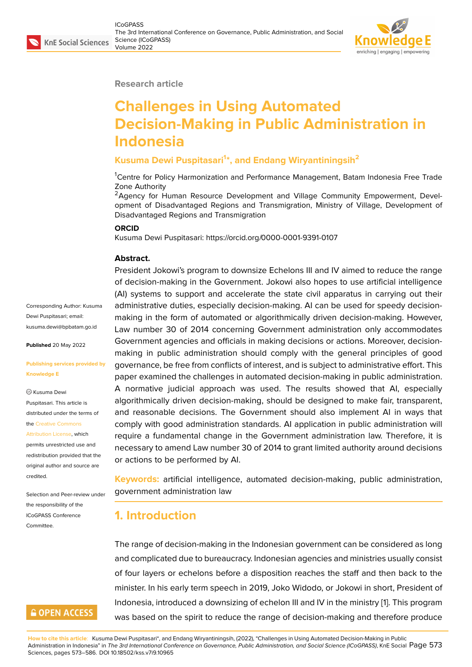#### **Research article**

## **Challenges in Using Automated Decision-Making in Public Administration in Indonesia**

#### **Kusuma Dewi Puspitasari<sup>1</sup> \*, and Endang Wiryantiningsih<sup>2</sup>**

<sup>1</sup>Centre for Policy Harmonization and Performance Management, Batam Indonesia Free Trade Zone Authority

<sup>2</sup>Agency for Human Resource Development and Village Community Empowerment, Development of Disadvantaged Regions and Transmigration, Ministry of Village, Development of Disadvantaged Regions and Transmigration

#### **ORCID**

Kusuma Dewi Puspitasari: https://orcid.org/0000-0001-9391-0107

#### **Abstract.**

President Jokowi's program to downsize Echelons III and IV aimed to reduce the range of decision-making in the Government. Jokowi also hopes to use artificial intelligence (AI) systems to support and accelerate the state civil apparatus in carrying out their administrative duties, especially decision-making. AI can be used for speedy decisionmaking in the form of automated or algorithmically driven decision-making. However, Law number 30 of 2014 concerning Government administration only accommodates Government agencies and officials in making decisions or actions. Moreover, decisionmaking in public administration should comply with the general principles of good governance, be free from conflicts of interest, and is subject to administrative effort. This paper examined the challenges in automated decision-making in public administration. A normative judicial approach was used. The results showed that AI, especially algorithmically driven decision-making, should be designed to make fair, transparent, and reasonable decisions. The Government should also implement AI in ways that comply with good administration standards. AI application in public administration will require a fundamental change in the Government administration law. Therefore, it is necessary to amend Law number 30 of 2014 to grant limited authority around decisions or actions to be performed by AI.

**Keywords:** artificial intelligence, automated decision-making, public administration, government administration law

## **1. Introduction**

The range of decision-making in the Indonesian government can be considered as long and complicated due to bureaucracy. Indonesian agencies and ministries usually consist of four layers or echelons before a disposition reaches the staff and then back to the minister. In his early term speech in 2019, Joko Widodo, or Jokowi in short, President of Indonesia, introduced a downsizing of echelon III and IV in the ministry [1]. This program was based on the spirit to reduce the range of decision-making and therefore produce

**How to cite this article**: Kusuma Dewi Puspitasari\*, and Endang Wiryantiningsih, (2022), "Challenges in Using Automated Decision-Making in Public Administration in Indonesia" in *The 3rd International Conference on Governance, Public Administration, and Social Science (ICoGPASS)*, K[nE](#page-11-0) Social Page 573 Sciences, pages 573–586. DOI 10.18502/kss.v7i9.10965

Corresponding Author: Kusuma Dewi Puspitasari; email: kusuma.dewi@bpbatam.go.id

**Published** 20 May 2022

#### **[Publishing services provided](mailto:kusuma.dewi@bpbatam.go.id) by Knowledge E**

<sup>©</sup> Kusuma Dewi Puspitasari. This article is distributed under the terms of the Creative Commons

Attribution License, which

permits unrestricted use and redistribution provided that the orig[inal author and sou](https://creativecommons.org/licenses/by/4.0/)rce are [credited.](https://creativecommons.org/licenses/by/4.0/)

Selection and Peer-review under the responsibility of the ICoGPASS Conference Committee.

## **GOPEN ACCESS**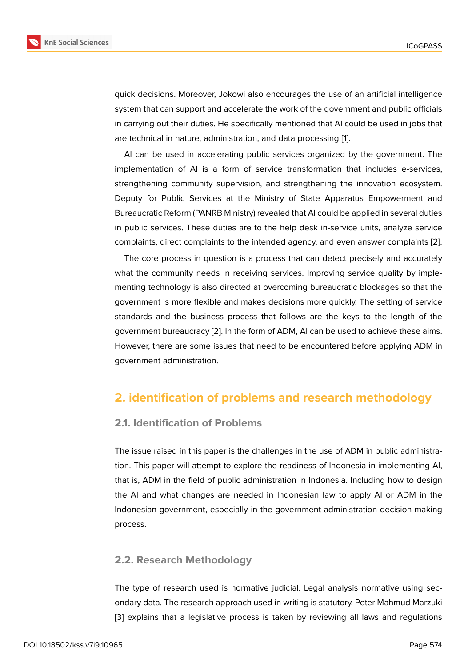quick decisions. Moreover, Jokowi also encourages the use of an artificial intelligence system that can support and accelerate the work of the government and public officials in carrying out their duties. He specifically mentioned that AI could be used in jobs that are technical in nature, administration, and data processing [1].

AI can be used in accelerating public services organized by the government. The implementation of AI is a form of service transformation that includes e-services, strengthening community supervision, and strengthening t[h](#page-11-0)e innovation ecosystem. Deputy for Public Services at the Ministry of State Apparatus Empowerment and Bureaucratic Reform (PANRB Ministry) revealed that AI could be applied in several duties in public services. These duties are to the help desk in-service units, analyze service complaints, direct complaints to the intended agency, and even answer complaints [2].

The core process in question is a process that can detect precisely and accurately what the community needs in receiving services. Improving service quality by implementing technology is also directed at overcoming bureaucratic blockages so that t[he](#page-11-1) government is more flexible and makes decisions more quickly. The setting of service standards and the business process that follows are the keys to the length of the government bureaucracy [2]. In the form of ADM, AI can be used to achieve these aims. However, there are some issues that need to be encountered before applying ADM in government administration.

## **2. identification of problems and research methodology**

#### **2.1. Identification of Problems**

The issue raised in this paper is the challenges in the use of ADM in public administration. This paper will attempt to explore the readiness of Indonesia in implementing AI, that is, ADM in the field of public administration in Indonesia. Including how to design the AI and what changes are needed in Indonesian law to apply AI or ADM in the Indonesian government, especially in the government administration decision-making process.

#### **2.2. Research Methodology**

The type of research used is normative judicial. Legal analysis normative using secondary data. The research approach used in writing is statutory. Peter Mahmud Marzuki [3] explains that a legislative process is taken by reviewing all laws and regulations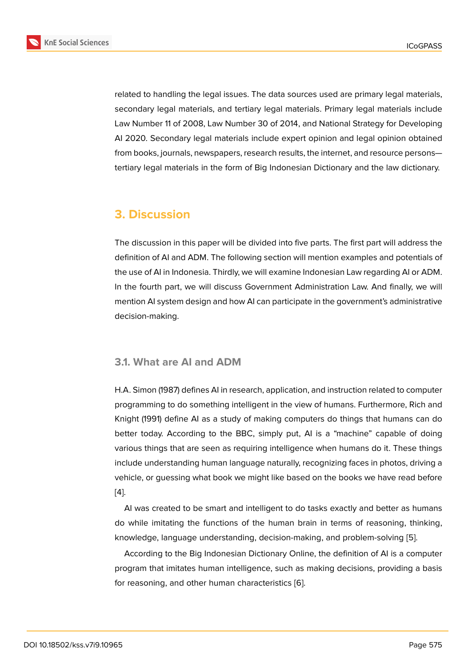related to handling the legal issues. The data sources used are primary legal materials, secondary legal materials, and tertiary legal materials. Primary legal materials include Law Number 11 of 2008, Law Number 30 of 2014, and National Strategy for Developing AI 2020. Secondary legal materials include expert opinion and legal opinion obtained from books, journals, newspapers, research results, the internet, and resource persons tertiary legal materials in the form of Big Indonesian Dictionary and the law dictionary.

## **3. Discussion**

The discussion in this paper will be divided into five parts. The first part will address the definition of AI and ADM. The following section will mention examples and potentials of the use of AI in Indonesia. Thirdly, we will examine Indonesian Law regarding AI or ADM. In the fourth part, we will discuss Government Administration Law. And finally, we will mention AI system design and how AI can participate in the government's administrative decision-making.

#### **3.1. What are AI and ADM**

H.A. Simon (1987) defines AI in research, application, and instruction related to computer programming to do something intelligent in the view of humans. Furthermore, Rich and Knight (1991) define AI as a study of making computers do things that humans can do better today. According to the BBC, simply put, AI is a "machine" capable of doing various things that are seen as requiring intelligence when humans do it. These things include understanding human language naturally, recognizing faces in photos, driving a vehicle, or guessing what book we might like based on the books we have read before [4].

AI was created to be smart and intelligent to do tasks exactly and better as humans do while imitating the functions of the human brain in terms of reasoning, thinking, [kn](#page-12-0)owledge, language understanding, decision-making, and problem-solving [5].

According to the Big Indonesian Dictionary Online, the definition of AI is a computer program that imitates human intelligence, such as making decisions, providing a basis for reasoning, and other human characteristics [6].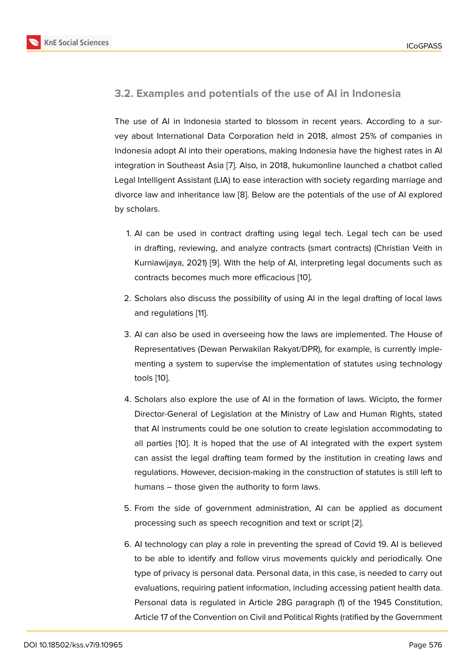#### **3.2. Examples and potentials of the use of AI in Indonesia**

The use of AI in Indonesia started to blossom in recent years. According to a survey about International Data Corporation held in 2018, almost 25% of companies in Indonesia adopt AI into their operations, making Indonesia have the highest rates in AI integration in Southeast Asia [7]. Also, in 2018, hukumonline launched a chatbot called Legal Intelligent Assistant (LIA) to ease interaction with society regarding marriage and divorce law and inheritance law [8]. Below are the potentials of the use of AI explored by scholars.

- 1. AI can be used in contrac[t](#page-12-1) drafting using legal tech. Legal tech can be used in drafting, reviewing, and analyze contracts (smart contracts) (Christian Veith in Kurniawijaya, 2021) [9]. With the help of AI, interpreting legal documents such as contracts becomes much more efficacious [10].
- 2. Scholars also discu[ss](#page-12-2) the possibility of using AI in the legal drafting of local laws and regulations [11].
- 3. AI can also be used in overseeing how the laws are implemented. The House of Representatives [\(D](#page-12-3)ewan Perwakilan Rakyat/DPR), for example, is currently implementing a system to supervise the implementation of statutes using technology tools [10].
- 4. Scholars also explore the use of AI in the formation of laws. Wicipto, the former Direct[or-](#page-12-4)General of Legislation at the Ministry of Law and Human Rights, stated that AI instruments could be one solution to create legislation accommodating to all parties [10]. It is hoped that the use of AI integrated with the expert system can assist the legal drafting team formed by the institution in creating laws and regulations. However, decision-making in the construction of statutes is still left to humans – t[ho](#page-12-4)se given the authority to form laws.
- 5. From the side of government administration, AI can be applied as document processing such as speech recognition and text or script [2].
- 6. AI technology can play a role in preventing the spread of Covid 19. AI is believed to be able to identify and follow virus movements quickl[y](#page-11-1) and periodically. One type of privacy is personal data. Personal data, in this case, is needed to carry out evaluations, requiring patient information, including accessing patient health data. Personal data is regulated in Article 28G paragraph (1) of the 1945 Constitution, Article 17 of the Convention on Civil and Political Rights (ratified by the Government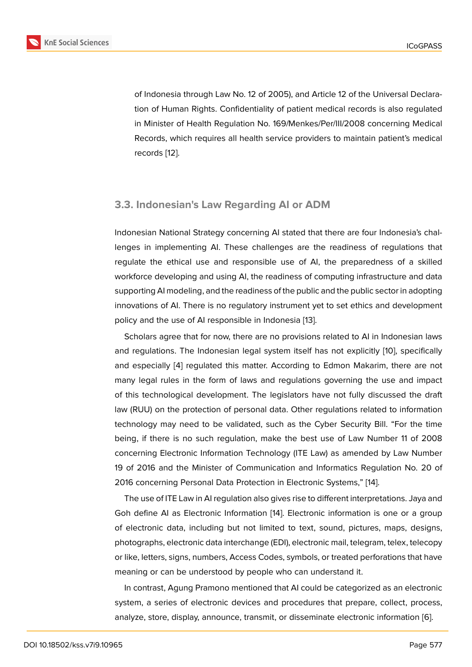of Indonesia through Law No. 12 of 2005), and Article 12 of the Universal Declaration of Human Rights. Confidentiality of patient medical records is also regulated in Minister of Health Regulation No. 169/Menkes/Per/III/2008 concerning Medical Records, which requires all health service providers to maintain patient's medical records [12].

#### **3.3. Indonesian's Law Regarding AI or ADM**

Indonesian National Strategy concerning AI stated that there are four Indonesia's challenges in implementing AI. These challenges are the readiness of regulations that regulate the ethical use and responsible use of AI, the preparedness of a skilled workforce developing and using AI, the readiness of computing infrastructure and data supporting AI modeling, and the readiness of the public and the public sector in adopting innovations of AI. There is no regulatory instrument yet to set ethics and development policy and the use of AI responsible in Indonesia [13].

Scholars agree that for now, there are no provisions related to AI in Indonesian laws and regulations. The Indonesian legal system itself has not explicitly [10], specifically and especially [4] regulated this matter. Accordin[g t](#page-12-5)o Edmon Makarim, there are not many legal rules in the form of laws and regulations governing the use and impact of this technological development. The legislators have not fully disc[uss](#page-12-4)ed the draft law (RUU) on th[e](#page-12-0) protection of personal data. Other regulations related to information technology may need to be validated, such as the Cyber Security Bill. "For the time being, if there is no such regulation, make the best use of Law Number 11 of 2008 concerning Electronic Information Technology (ITE Law) as amended by Law Number 19 of 2016 and the Minister of Communication and Informatics Regulation No. 20 of 2016 concerning Personal Data Protection in Electronic Systems," [14].

The use of ITE Law in AI regulation also gives rise to different interpretations. Jaya and Goh define AI as Electronic Information [14]. Electronic information is one or a group of electronic data, including but not limited to text, sound, pictu[res](#page-12-6), maps, designs, photographs, electronic data interchange (EDI), electronic mail, telegram, telex, telecopy or like, letters, signs, numbers, Access Co[des](#page-12-6), symbols, or treated perforations that have meaning or can be understood by people who can understand it.

In contrast, Agung Pramono mentioned that AI could be categorized as an electronic system, a series of electronic devices and procedures that prepare, collect, process, analyze, store, display, announce, transmit, or disseminate electronic information [6].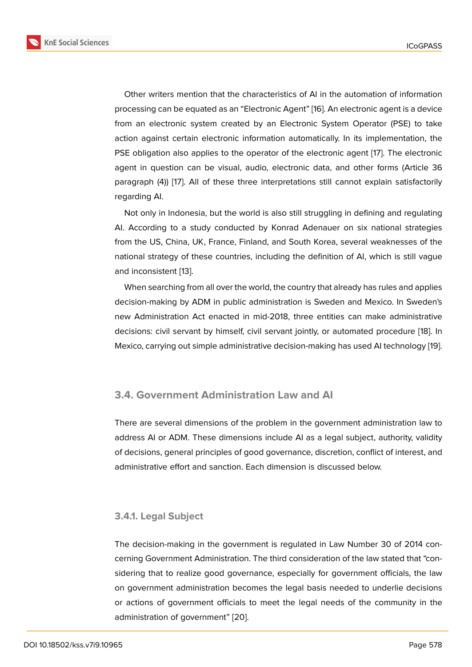Other writers mention that the characteristics of AI in the automation of information processing can be equated as an "Electronic Agent" [16]. An electronic agent is a device from an electronic system created by an Electronic System Operator (PSE) to take action against certain electronic information automatically. In its implementation, the PSE obligation also applies to the operator of the el[ec](#page-13-0)tronic agent [17]. The electronic agent in question can be visual, audio, electronic data, and other forms (Article 36 paragraph (4)) [17]. All of these three interpretations still cannot explain satisfactorily regarding AI.

Not only in Indonesia, but the world is also still struggling in defining and regulating AI. According t[o](#page-13-1) a study conducted by Konrad Adenauer on six national strategies from the US, China, UK, France, Finland, and South Korea, several weaknesses of the national strategy of these countries, including the definition of AI, which is still vague and inconsistent [13].

When searching from all over the world, the country that already has rules and applies decision-making by ADM in public administration is Sweden and Mexico. In Sweden's new Administrati[on](#page-12-5) Act enacted in mid-2018, three entities can make administrative decisions: civil servant by himself, civil servant jointly, or automated procedure [18]. In Mexico, carrying out simple administrative decision-making has used AI technology [19].

#### **3.4. Government Administration Law and AI**

There are several dimensions of the problem in the government administration law to address AI or ADM. These dimensions include AI as a legal subject, authority, validity of decisions, general principles of good governance, discretion, conflict of interest, and administrative effort and sanction. Each dimension is discussed below.

#### **3.4.1. Legal Subject**

The decision-making in the government is regulated in Law Number 30 of 2014 concerning Government Administration. The third consideration of the law stated that "considering that to realize good governance, especially for government officials, the law on government administration becomes the legal basis needed to underlie decisions or actions of government officials to meet the legal needs of the community in the administration of government" [20].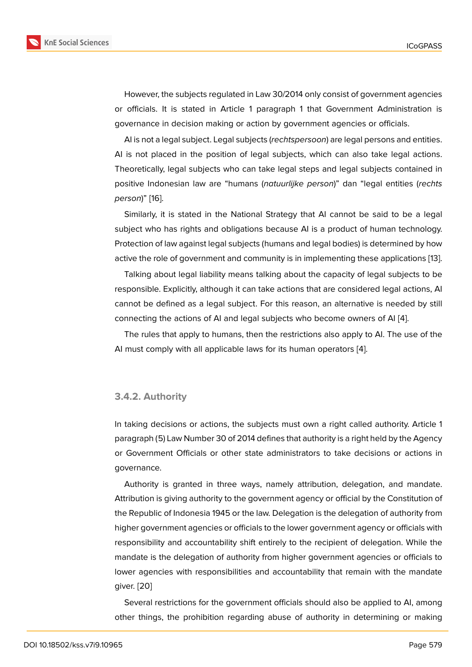However, the subjects regulated in Law 30/2014 only consist of government agencies or officials. It is stated in Article 1 paragraph 1 that Government Administration is governance in decision making or action by government agencies or officials.

AI is not a legal subject. Legal subjects (*rechtspersoon*) are legal persons and entities. AI is not placed in the position of legal subjects, which can also take legal actions. Theoretically, legal subjects who can take legal steps and legal subjects contained in positive Indonesian law are "humans (*natuurlijke person*)" dan "legal entities (*rechts person*)" [16].

Similarly, it is stated in the National Strategy that AI cannot be said to be a legal subject who has rights and obligations because AI is a product of human technology. Protectio[n o](#page-13-0)f law against legal subjects (humans and legal bodies) is determined by how active the role of government and community is in implementing these applications [13].

Talking about legal liability means talking about the capacity of legal subjects to be responsible. Explicitly, although it can take actions that are considered legal actions, AI cannot be defined as a legal subject. For this reason, an alternative is needed by [sti](#page-12-5)ll connecting the actions of AI and legal subjects who become owners of AI [4].

The rules that apply to humans, then the restrictions also apply to AI. The use of the AI must comply with all applicable laws for its human operators [4].

#### **3.4.2. Authority**

In taking decisions or actions, the subjects must own a right called authority. Article 1 paragraph (5) Law Number 30 of 2014 defines that authority is a right held by the Agency or Government Officials or other state administrators to take decisions or actions in governance.

Authority is granted in three ways, namely attribution, delegation, and mandate. Attribution is giving authority to the government agency or official by the Constitution of the Republic of Indonesia 1945 or the law. Delegation is the delegation of authority from higher government agencies or officials to the lower government agency or officials with responsibility and accountability shift entirely to the recipient of delegation. While the mandate is the delegation of authority from higher government agencies or officials to lower agencies with responsibilities and accountability that remain with the mandate giver. [20]

Several restrictions for the government officials should also be applied to AI, among other [thin](#page-13-2)gs, the prohibition regarding abuse of authority in determining or making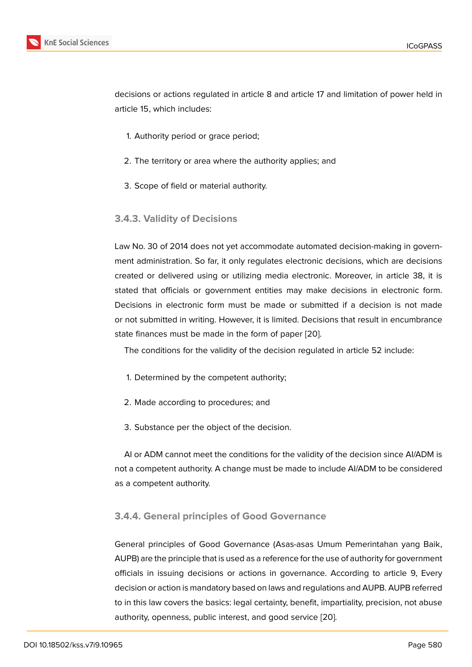decisions or actions regulated in article 8 and article 17 and limitation of power held in article 15, which includes:

- 1. Authority period or grace period;
- 2. The territory or area where the authority applies; and
- 3. Scope of field or material authority.
- **3.4.3. Validity of Decisions**

Law No. 30 of 2014 does not yet accommodate automated decision-making in government administration. So far, it only regulates electronic decisions, which are decisions created or delivered using or utilizing media electronic. Moreover, in article 38, it is stated that officials or government entities may make decisions in electronic form. Decisions in electronic form must be made or submitted if a decision is not made or not submitted in writing. However, it is limited. Decisions that result in encumbrance state finances must be made in the form of paper [20].

The conditions for the validity of the decision regulated in article 52 include:

- 1. Determined by the competent authority;
- 2. Made according to procedures; and
- 3. Substance per the object of the decision.

AI or ADM cannot meet the conditions for the validity of the decision since AI/ADM is not a competent authority. A change must be made to include AI/ADM to be considered as a competent authority.

#### **3.4.4. General principles of Good Governance**

General principles of Good Governance (Asas-asas Umum Pemerintahan yang Baik, AUPB) are the principle that is used as a reference for the use of authority for government officials in issuing decisions or actions in governance. According to article 9, Every decision or action is mandatory based on laws and regulations and AUPB. AUPB referred to in this law covers the basics: legal certainty, benefit, impartiality, precision, not abuse authority, openness, public interest, and good service [20].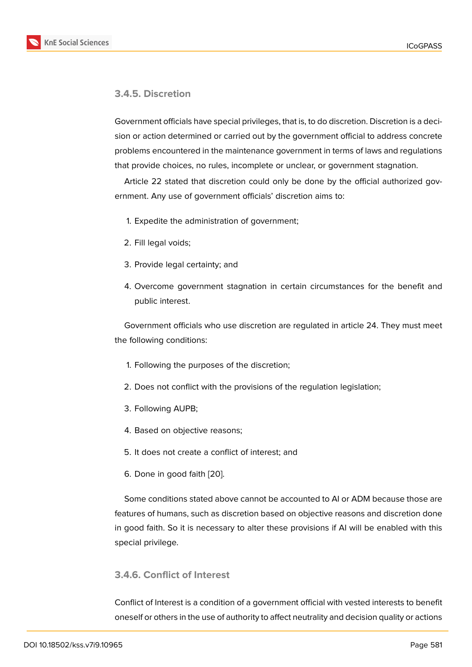#### **3.4.5. Discretion**

Government officials have special privileges, that is, to do discretion. Discretion is a decision or action determined or carried out by the government official to address concrete problems encountered in the maintenance government in terms of laws and regulations that provide choices, no rules, incomplete or unclear, or government stagnation.

Article 22 stated that discretion could only be done by the official authorized government. Any use of government officials' discretion aims to:

- 1. Expedite the administration of government;
- 2. Fill legal voids;
- 3. Provide legal certainty; and
- 4. Overcome government stagnation in certain circumstances for the benefit and public interest.

Government officials who use discretion are regulated in article 24. They must meet the following conditions:

- 1. Following the purposes of the discretion;
- 2. Does not conflict with the provisions of the regulation legislation;
- 3. Following AUPB;
- 4. Based on objective reasons;
- 5. It does not create a conflict of interest; and
- 6. Done in good faith [20].

Some conditions stated above cannot be accounted to AI or ADM because those are features of humans, such [as](#page-13-2) discretion based on objective reasons and discretion done in good faith. So it is necessary to alter these provisions if AI will be enabled with this special privilege.

#### **3.4.6. Conflict of Interest**

Conflict of Interest is a condition of a government official with vested interests to benefit oneself or others in the use of authority to affect neutrality and decision quality or actions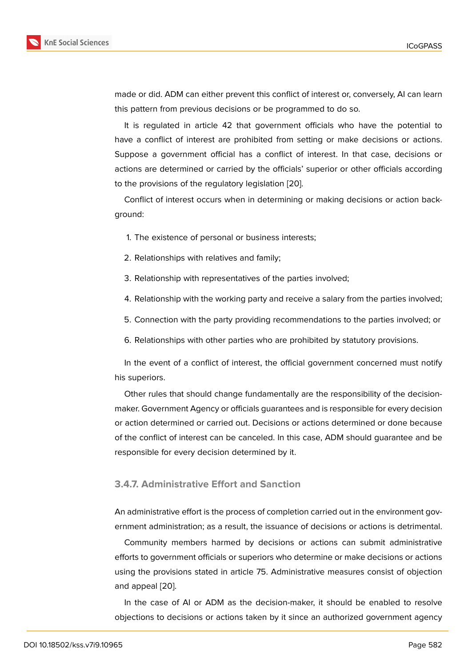made or did. ADM can either prevent this conflict of interest or, conversely, AI can learn this pattern from previous decisions or be programmed to do so.

It is regulated in article 42 that government officials who have the potential to have a conflict of interest are prohibited from setting or make decisions or actions. Suppose a government official has a conflict of interest. In that case, decisions or actions are determined or carried by the officials' superior or other officials according to the provisions of the regulatory legislation [20].

Conflict of interest occurs when in determining or making decisions or action background:

- 1. The existence of personal or business interests;
- 2. Relationships with relatives and family;
- 3. Relationship with representatives of the parties involved;
- 4. Relationship with the working party and receive a salary from the parties involved;
- 5. Connection with the party providing recommendations to the parties involved; or
- 6. Relationships with other parties who are prohibited by statutory provisions.

In the event of a conflict of interest, the official government concerned must notify his superiors.

Other rules that should change fundamentally are the responsibility of the decisionmaker. Government Agency or officials guarantees and is responsible for every decision or action determined or carried out. Decisions or actions determined or done because of the conflict of interest can be canceled. In this case, ADM should guarantee and be responsible for every decision determined by it.

#### **3.4.7. Administrative Effort and Sanction**

An administrative effort is the process of completion carried out in the environment government administration; as a result, the issuance of decisions or actions is detrimental.

Community members harmed by decisions or actions can submit administrative efforts to government officials or superiors who determine or make decisions or actions using the provisions stated in article 75. Administrative measures consist of objection and appeal [20].

In the case of AI or ADM as the decision-maker, it should be enabled to resolve objections t[o de](#page-13-2)cisions or actions taken by it since an authorized government agency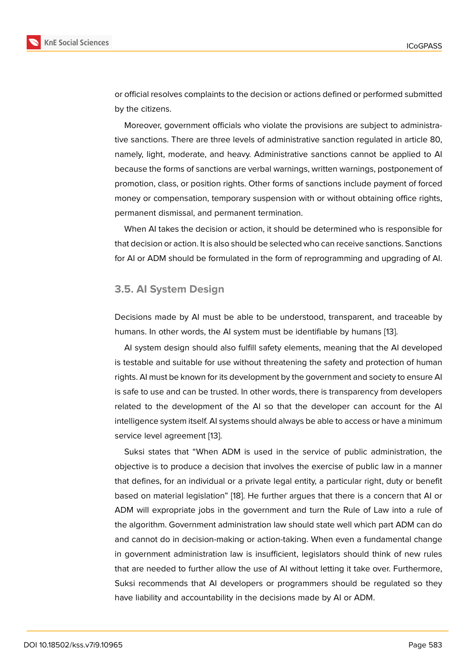or official resolves complaints to the decision or actions defined or performed submitted by the citizens.

Moreover, government officials who violate the provisions are subject to administrative sanctions. There are three levels of administrative sanction regulated in article 80, namely, light, moderate, and heavy. Administrative sanctions cannot be applied to AI because the forms of sanctions are verbal warnings, written warnings, postponement of promotion, class, or position rights. Other forms of sanctions include payment of forced money or compensation, temporary suspension with or without obtaining office rights, permanent dismissal, and permanent termination.

When AI takes the decision or action, it should be determined who is responsible for that decision or action. It is also should be selected who can receive sanctions. Sanctions for AI or ADM should be formulated in the form of reprogramming and upgrading of AI.

#### **3.5. AI System Design**

Decisions made by AI must be able to be understood, transparent, and traceable by humans. In other words, the AI system must be identifiable by humans [13].

AI system design should also fulfill safety elements, meaning that the AI developed is testable and suitable for use without threatening the safety and protection of human rights. AI must be known for its development by the government and soci[ety](#page-12-5) to ensure AI is safe to use and can be trusted. In other words, there is transparency from developers related to the development of the AI so that the developer can account for the AI intelligence system itself. AI systems should always be able to access or have a minimum service level agreement [13].

Suksi states that "When ADM is used in the service of public administration, the objective is to produce a decision that involves the exercise of public law in a manner that defines, for an indivi[du](#page-12-5)al or a private legal entity, a particular right, duty or benefit based on material legislation" [18]. He further argues that there is a concern that AI or ADM will expropriate jobs in the government and turn the Rule of Law into a rule of the algorithm. Government administration law should state well which part ADM can do and cannot do in decision-mak[ing](#page-13-3) or action-taking. When even a fundamental change in government administration law is insufficient, legislators should think of new rules that are needed to further allow the use of AI without letting it take over. Furthermore, Suksi recommends that AI developers or programmers should be regulated so they have liability and accountability in the decisions made by AI or ADM.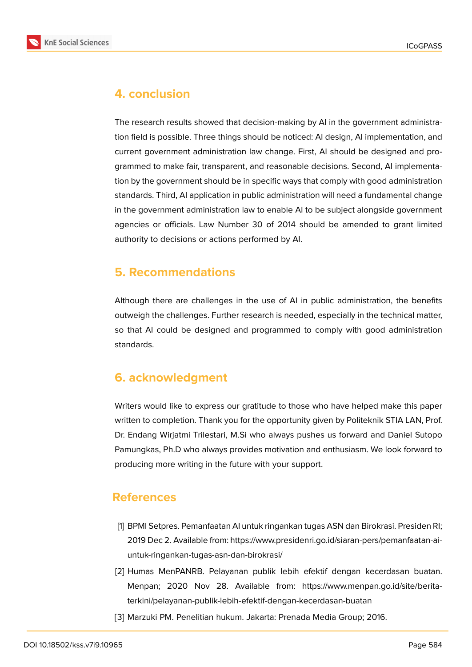

# **4. conclusion**

The research results showed that decision-making by AI in the government administration field is possible. Three things should be noticed: AI design, AI implementation, and current government administration law change. First, AI should be designed and programmed to make fair, transparent, and reasonable decisions. Second, AI implementation by the government should be in specific ways that comply with good administration standards. Third, AI application in public administration will need a fundamental change in the government administration law to enable AI to be subject alongside government agencies or officials. Law Number 30 of 2014 should be amended to grant limited authority to decisions or actions performed by AI.

## **5. Recommendations**

Although there are challenges in the use of AI in public administration, the benefits outweigh the challenges. Further research is needed, especially in the technical matter, so that AI could be designed and programmed to comply with good administration standards.

## **6. acknowledgment**

Writers would like to express our gratitude to those who have helped make this paper written to completion. Thank you for the opportunity given by Politeknik STIA LAN, Prof. Dr. Endang Wirjatmi Trilestari, M.Si who always pushes us forward and Daniel Sutopo Pamungkas, Ph.D who always provides motivation and enthusiasm. We look forward to producing more writing in the future with your support.

## **References**

- <span id="page-11-0"></span>[1] BPMI Setpres. Pemanfaatan AI untuk ringankan tugas ASN dan Birokrasi. Presiden RI; 2019 Dec 2. Available from: https://www.presidenri.go.id/siaran-pers/pemanfaatan-aiuntuk-ringankan-tugas-asn-dan-birokrasi/
- <span id="page-11-1"></span>[2] Humas MenPANRB. Pelayanan publik lebih efektif dengan kecerdasan buatan. Menpan; 2020 Nov 28. Available from: https://www.menpan.go.id/site/beritaterkini/pelayanan-publik-lebih-efektif-dengan-kecerdasan-buatan
- [3] Marzuki PM. Penelitian hukum. Jakarta: Prenada Media Group; 2016.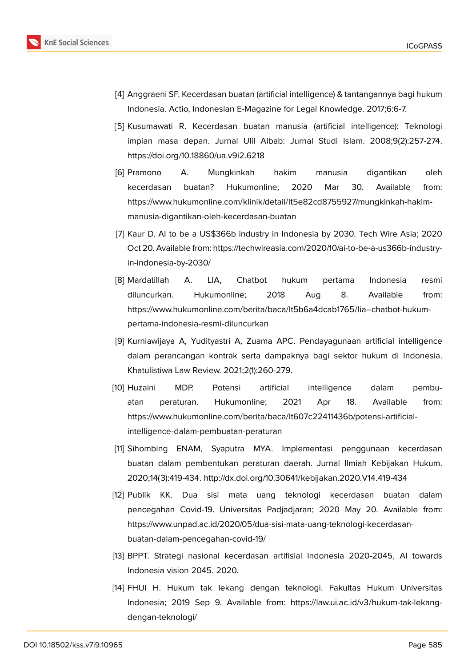

- <span id="page-12-0"></span>[4] Anggraeni SF. Kecerdasan buatan (artificial intelligence) & tantangannya bagi hukum Indonesia. Actio, Indonesian E-Magazine for Legal Knowledge. 2017;6:6-7.
- [5] Kusumawati R. Kecerdasan buatan manusia (artificial intelligence): Teknologi impian masa depan. Jurnal Ulil Albab: Jurnal Studi Islam. 2008;9(2):257-274. https://doi.org/10.18860/ua.v9i2.6218
- [6] Pramono A. Mungkinkah hakim manusia digantikan oleh kecerdasan buatan? Hukumonline; 2020 Mar 30. Available from: https://www.hukumonline.com/klinik/detail/lt5e82cd8755927/mungkinkah-hakimmanusia-digantikan-oleh-kecerdasan-buatan
- [7] Kaur D. AI to be a US\$366b industry in Indonesia by 2030. Tech Wire Asia; 2020 Oct 20. Available from: https://techwireasia.com/2020/10/ai-to-be-a-us366b-industryin-indonesia-by-2030/
- <span id="page-12-1"></span>[8] Mardatillah A. LIA, Chatbot hukum pertama Indonesia resmi diluncurkan. Hukumonline; 2018 Aug 8. Available from: https://www.hukumonline.com/berita/baca/lt5b6a4dcab1765/lia–chatbot-hukumpertama-indonesia-resmi-diluncurkan
- <span id="page-12-2"></span>[9] Kurniawijaya A, Yudityastri A, Zuama APC. Pendayagunaan artificial intelligence dalam perancangan kontrak serta dampaknya bagi sektor hukum di Indonesia. Khatulistiwa Law Review. 2021;2(1):260-279.
- <span id="page-12-4"></span>[10] Huzaini MDP. Potensi artificial intelligence dalam pembuatan peraturan. Hukumonline; 2021 Apr 18. Available from: https://www.hukumonline.com/berita/baca/lt607c22411436b/potensi-artificialintelligence-dalam-pembuatan-peraturan
- <span id="page-12-3"></span>[11] Sihombing ENAM, Syaputra MYA. Implementasi penggunaan kecerdasan buatan dalam pembentukan peraturan daerah. Jurnal Ilmiah Kebijakan Hukum. 2020;14(3):419-434. http://dx.doi.org/10.30641/kebijakan.2020.V14.419-434
- [12] Publik KK. Dua sisi mata uang teknologi kecerdasan buatan dalam pencegahan Covid-19. Universitas Padjadjaran; 2020 May 20. Available from: https://www.unpad.ac.id/2020/05/dua-sisi-mata-uang-teknologi-kecerdasanbuatan-dalam-pencegahan-covid-19/
- <span id="page-12-5"></span>[13] BPPT. Strategi nasional kecerdasan artifisial Indonesia 2020-2045, AI towards Indonesia vision 2045. 2020.
- <span id="page-12-6"></span>[14] FHUI H. Hukum tak lekang dengan teknologi. Fakultas Hukum Universitas Indonesia; 2019 Sep 9. Available from: https://law.ui.ac.id/v3/hukum-tak-lekangdengan-teknologi/